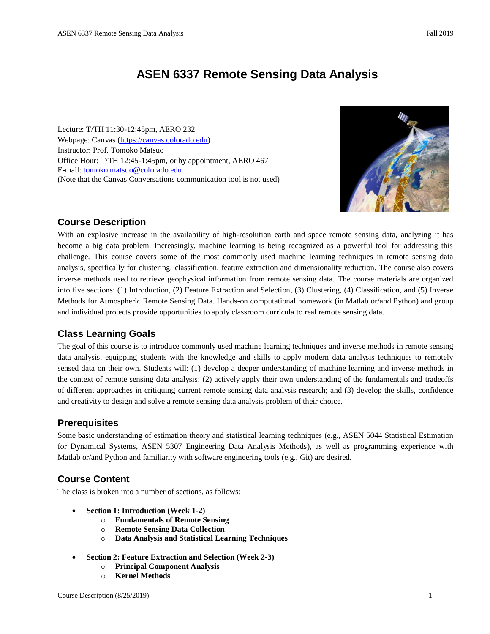# **ASEN 6337 Remote Sensing Data Analysis**

Lecture: T/TH 11:30-12:45pm, AERO 232 Webpage: Canvas [\(https://canvas.colorado.edu\)](https://canvas.colorado.edu/) Instructor: Prof. Tomoko Matsuo Office Hour: T/TH 12:45-1:45pm, or by appointment, AERO 467 E-mail: [tomoko.matsuo@colorado.edu](mailto:tomoko.matsuo@colorado.edu) (Note that the Canvas Conversations communication tool is not used)



#### **Course Description**

With an explosive increase in the availability of high-resolution earth and space remote sensing data, analyzing it has become a big data problem. Increasingly, machine learning is being recognized as a powerful tool for addressing this challenge. This course covers some of the most commonly used machine learning techniques in remote sensing data analysis, specifically for clustering, classification, feature extraction and dimensionality reduction. The course also covers inverse methods used to retrieve geophysical information from remote sensing data. The course materials are organized into five sections: (1) Introduction, (2) Feature Extraction and Selection, (3) Clustering, (4) Classification, and (5) Inverse Methods for Atmospheric Remote Sensing Data. Hands-on computational homework (in Matlab or/and Python) and group and individual projects provide opportunities to apply classroom curricula to real remote sensing data.

#### **Class Learning Goals**

The goal of this course is to introduce commonly used machine learning techniques and inverse methods in remote sensing data analysis, equipping students with the knowledge and skills to apply modern data analysis techniques to remotely sensed data on their own. Students will: (1) develop a deeper understanding of machine learning and inverse methods in the context of remote sensing data analysis; (2) actively apply their own understanding of the fundamentals and tradeoffs of different approaches in critiquing current remote sensing data analysis research; and (3) develop the skills, confidence and creativity to design and solve a remote sensing data analysis problem of their choice.

#### **Prerequisites**

Some basic understanding of estimation theory and statistical learning techniques (e.g., ASEN 5044 Statistical Estimation for Dynamical Systems, ASEN 5307 Engineering Data Analysis Methods), as well as programming experience with Matlab or/and Python and familiarity with software engineering tools (e.g., Git) are desired.

#### **Course Content**

The class is broken into a number of sections, as follows:

- **Section 1: Introduction (Week 1-2)**
	- o **Fundamentals of Remote Sensing**
	- o **Remote Sensing Data Collection**
	- o **Data Analysis and Statistical Learning Techniques**
- **Section 2: Feature Extraction and Selection (Week 2-3)**
	- o **Principal Component Analysis**
	- o **Kernel Methods**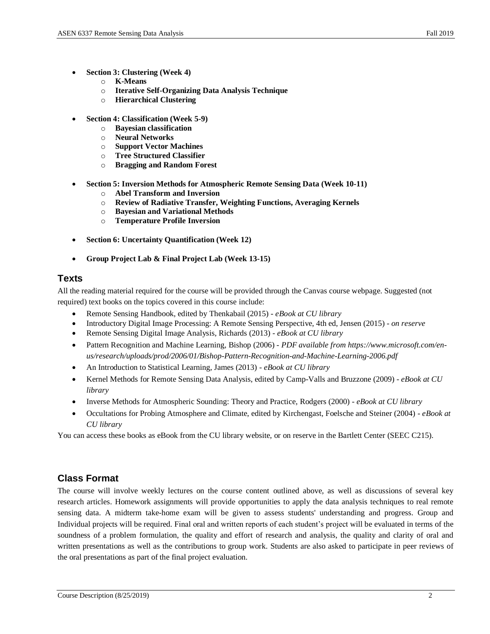- **Section 3: Clustering (Week 4)**
	- o **K-Means**
	- o **Iterative Self-Organizing Data Analysis Technique**
	- o **Hierarchical Clustering**
- **Section 4: Classification (Week 5-9)**
	- o **Bayesian classification**
	- o **Neural Networks**
	- o **Support Vector Machines**
	- o **Tree Structured Classifier**
	- o **Bragging and Random Forest**
- **Section 5: Inversion Methods for Atmospheric Remote Sensing Data (Week 10-11)**
	- o **Abel Transform and Inversion**
	- o **Review of Radiative Transfer, Weighting Functions, Averaging Kernels**
	- o **Bayesian and Variational Methods**
	- o **Temperature Profile Inversion**
- **Section 6: Uncertainty Quantification (Week 12)**
- **Group Project Lab & Final Project Lab (Week 13-15)**

## **Texts**

All the reading material required for the course will be provided through the Canvas course webpage. Suggested (not required) text books on the topics covered in this course include:

- Remote Sensing Handbook, edited by Thenkabail (2015) *- eBook at CU library*
- Introductory Digital Image Processing: A Remote Sensing Perspective, 4th ed, Jensen (2015) *on reserve*
- Remote Sensing Digital Image Analysis, Richards (2013) *- eBook at CU library*
- Pattern Recognition and Machine Learning, Bishop (2006) *PDF available from https://www.microsoft.com/enus/research/uploads/prod/2006/01/Bishop-Pattern-Recognition-and-Machine-Learning-2006.pdf*
- An Introduction to Statistical Learning, James (2013) *- eBook at CU library*
- Kernel Methods for Remote Sensing Data Analysis, edited by Camp-Valls and Bruzzone (2009) *eBook at CU library*
- Inverse Methods for Atmospheric Sounding: Theory and Practice, Rodgers (2000) *eBook at CU library*
- Occultations for Probing Atmosphere and Climate, edited by Kirchengast, Foelsche and Steiner (2004) *- eBook at CU library*

You can access these books as eBook from the CU library website, or on reserve in the Bartlett Center (SEEC C215).

# **Class Format**

The course will involve weekly lectures on the course content outlined above, as well as discussions of several key research articles. Homework assignments will provide opportunities to apply the data analysis techniques to real remote sensing data. A midterm take-home exam will be given to assess students' understanding and progress. Group and Individual projects will be required. Final oral and written reports of each student's project will be evaluated in terms of the soundness of a problem formulation, the quality and effort of research and analysis, the quality and clarity of oral and written presentations as well as the contributions to group work. Students are also asked to participate in peer reviews of the oral presentations as part of the final project evaluation.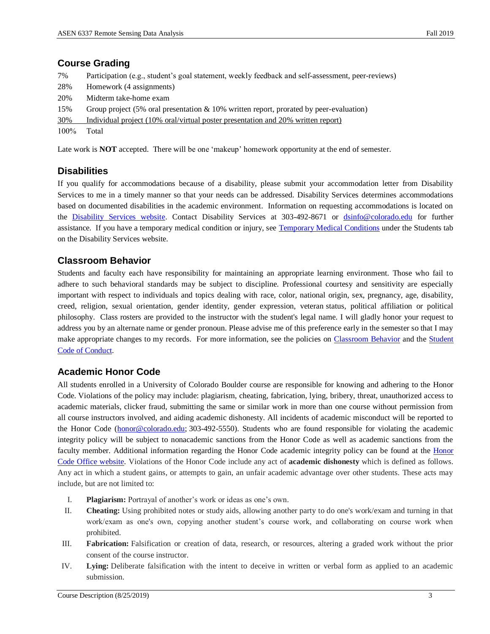#### **Course Grading**

| 7%      | Participation (e.g., student's goal statement, weekly feedback and self-assessment, peer-reviews) |
|---------|---------------------------------------------------------------------------------------------------|
| 28%     | Homework (4 assignments)                                                                          |
| 20%     | Midterm take-home exam                                                                            |
| 15%     | Group project $(5\%$ oral presentation & 10% written report, prorated by peer-evaluation)         |
| 30%     | Individual project (10% oral/virtual poster presentation and 20% written report)                  |
| $100\%$ | Total                                                                                             |

Late work is **NOT** accepted. There will be one 'makeup' homework opportunity at the end of semester.

#### **Disabilities**

If you qualify for accommodations because of a disability, please submit your accommodation letter from Disability Services to me in a timely manner so that your needs can be addressed. Disability Services determines accommodations based on documented disabilities in the academic environment. Information on requesting accommodations is located on the [Disability Services website.](http://www.colorado.edu/disabilityservices/students) Contact Disability Services at 303-492-8671 or [dsinfo@colorado.edu](mailto:dsinfo@colorado.edu) for further assistance. If you have a temporary medical condition or injury, see [Temporary Medical Conditions](http://www.colorado.edu/disabilityservices/students/temporary-medical-conditions) under the Students tab on the Disability Services website.

## **Classroom Behavior**

Students and faculty each have responsibility for maintaining an appropriate learning environment. Those who fail to adhere to such behavioral standards may be subject to discipline. Professional courtesy and sensitivity are especially important with respect to individuals and topics dealing with race, color, national origin, sex, pregnancy, age, disability, creed, religion, sexual orientation, gender identity, gender expression, veteran status, political affiliation or political philosophy. Class rosters are provided to the instructor with the student's legal name. I will gladly honor your request to address you by an alternate name or gender pronoun. Please advise me of this preference early in the semester so that I may make appropriate changes to my records. For more information, see the policies on [Classroom](http://www.colorado.edu/policies/student-classroom-and-course-related-behavior) Behavior and the Student [Code of Conduct.](http://www.colorado.edu/osccr/)

#### **Academic Honor Code**

All students enrolled in a University of Colorado Boulder course are responsible for knowing and adhering to the Honor Code. Violations of the policy may include: plagiarism, cheating, fabrication, lying, bribery, threat, unauthorized access to academic materials, clicker fraud, submitting the same or similar work in more than one course without permission from all course instructors involved, and aiding academic dishonesty. All incidents of academic misconduct will be reported to the Honor Code [\(honor@colorado.edu;](mailto:honor@colorado.edu) 303-492-5550). Students who are found responsible for violating the academic integrity policy will be subject to nonacademic sanctions from the Honor Code as well as academic sanctions from the faculty member. Additional information regarding the Honor Code academic integrity policy can be found at the [Honor](https://www.colorado.edu/osccr/honor-code)  [Code Office website.](https://www.colorado.edu/osccr/honor-code) Violations of the Honor Code include any act of **academic dishonesty** which is defined as follows. Any act in which a student gains, or attempts to gain, an unfair academic advantage over other students. These acts may include, but are not limited to:

- I. **Plagiarism:** Portrayal of another's work or ideas as one's own.
- II. **Cheating:** Using prohibited notes or study aids, allowing another party to do one's work/exam and turning in that work/exam as one's own, copying another student's course work, and collaborating on course work when prohibited.
- III. **Fabrication:** Falsification or creation of data, research, or resources, altering a graded work without the prior consent of the course instructor.
- IV. **Lying:** Deliberate falsification with the intent to deceive in written or verbal form as applied to an academic submission.